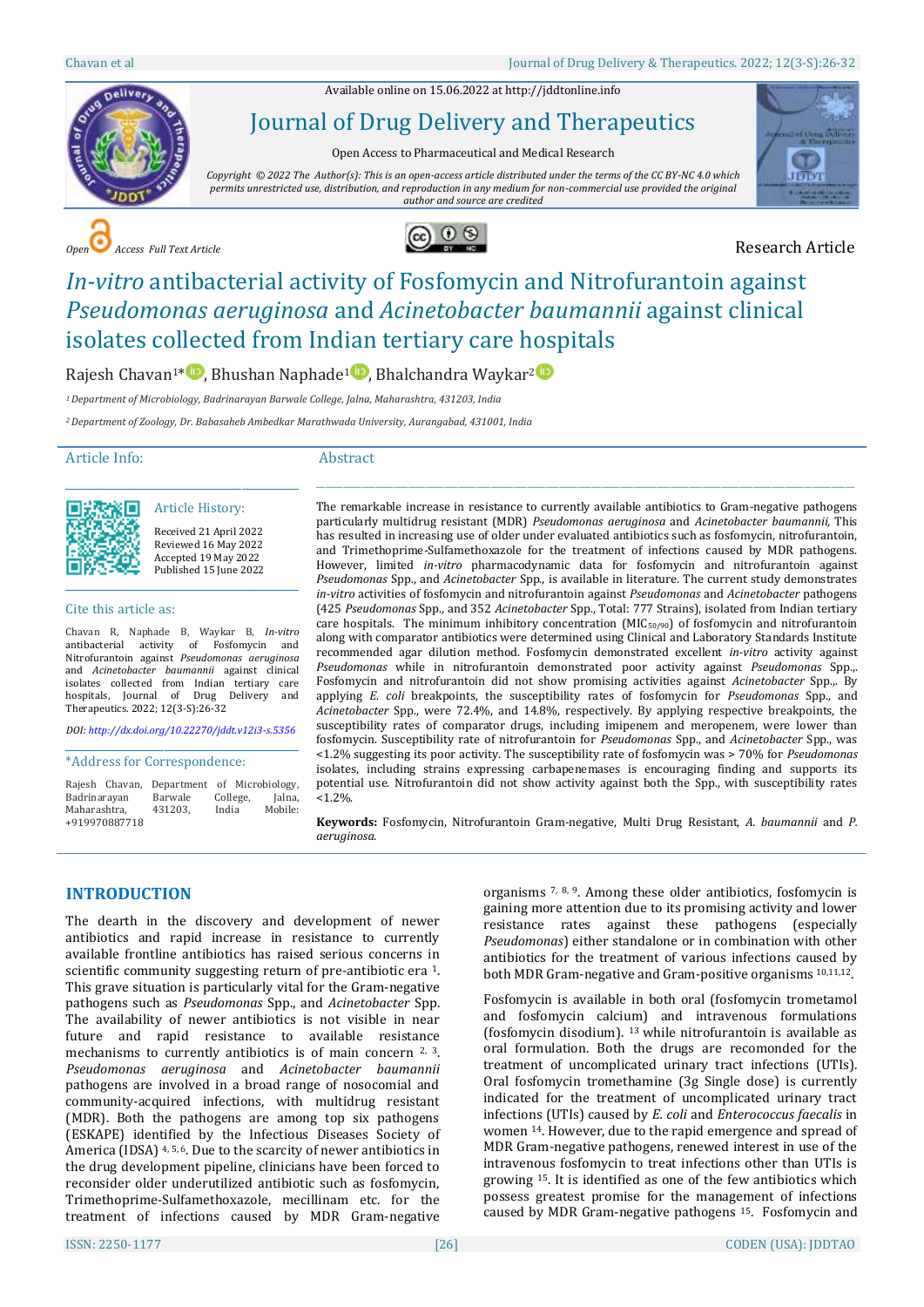Available online on 15.06.2022 a[t http://jddtonline.info](http://jddtonline.info/)



Journal of Drug Delivery and Therapeutics

Open Access to Pharmaceutical and Medical Research

*Copyright © 2022 The Author(s): This is an open-access article distributed under the terms of the CC BY-NC 4.0 which permits unrestricted use, distribution, and reproduction in any medium for non-commercial use provided the original author and source are credited*



**COPEN Access Full Text Article Research Article** 



# *In-vitro* antibacterial activity of Fosfomycin and Nitrofurantoin against *Pseudomonas aeruginosa* and *Acinetobacter baumannii* against clinical isolates collected from Indian tertiary care hospitals

Rajesh Chavan<sup>1\*</sup><sup>1</sup>[,](http://orcid.org/0000-0001-7732-3957) Bhushan Naphade<sup>1</sup><sup>1</sup>, Bhalchandra Waykar<sup>[2](http://orcid.org/0000-0001-8454-9567)</sup><sup>1</sup>

*<sup>1</sup>Department of Microbiology, Badrinarayan Barwale College, Jalna, Maharashtra, 431203, India*

*<sup>2</sup>Department of Zoology, Dr. Babasaheb Ambedkar Marathwada University, Aurangabad, 431001, India*

#### Article Info:

#### Abstract



Article History: Received 21 April 2022 Reviewed 16 May 2022 Accepted 19 May 2022 Published 15 June 2022

\_\_\_\_\_\_\_\_\_\_\_\_\_\_\_\_\_\_\_\_\_\_\_\_\_\_\_\_\_\_\_\_\_\_\_\_\_\_\_\_\_\_\_\_\_

#### Cite this article as:

Chavan R, Naphade B, Waykar B, *In-vitro* antibacterial activity of Fosfomycin and Nitrofurantoin against *Pseudomonas aeruginosa* and *Acinetobacter baumannii* against clinical isolates collected from Indian tertiary care hospitals, Journal of Drug Delivery and Therapeutics. 2022; 12(3-S):26-32

*DOI[: http://dx.doi.org/10.22270/jddt.v12i3-s.5356](http://dx.doi.org/10.22270/jddt.v12i3-s.5356)*  \_\_\_\_\_\_\_\_\_\_\_\_\_\_\_\_\_\_\_\_\_\_\_\_\_\_\_\_\_\_\_\_\_\_\_\_\_\_\_\_\_\_\_\_\_

#### \*Address for Correspondence:

|               | Rajesh Chavan, | Department of Microbiology, |          |         |
|---------------|----------------|-----------------------------|----------|---------|
| Badrinarayan  |                | Barwale                     | College, | Jalna,  |
| Maharashtra.  |                | 431203.                     | India    | Mobile: |
| +919970887718 |                |                             |          |         |

The remarkable increase in resistance to currently available antibiotics to Gram-negative pathogens particularly multidrug resistant (MDR) *Pseudomonas aeruginosa* and *Acinetobacter baumannii,* This has resulted in increasing use of older under evaluated antibiotics such as fosfomycin, nitrofurantoin, and Trimethoprime-Sulfamethoxazole for the treatment of infections caused by MDR pathogens. However, limited *in-vitro* pharmacodynamic data for fosfomycin and nitrofurantoin against *Pseudomonas* Spp., and *Acinetobacter* Spp., is available in literature. The current study demonstrates *in-vitro* activities of fosfomycin and nitrofurantoin against *Pseudomonas* and *Acinetobacter* pathogens (425 *Pseudomonas* Spp., and 352 *Acinetobacter* Spp., Total: 777 Strains), isolated from Indian tertiary care hospitals. The minimum inhibitory concentration (MIC $_{50/90}$ ) of fosfomycin and nitrofurantoin along with comparator antibiotics were determined using Clinical and Laboratory Standards Institute recommended agar dilution method. Fosfomycin demonstrated excellent *in-vitro* activity against *Pseudomonas* while in nitrofurantoin demonstrated poor activity against *Pseudomonas* Spp.,. Fosfomycin and nitrofurantoin did not show promising activities against *Acinetobacter* Spp.,. By applying *E. coli* breakpoints, the susceptibility rates of fosfomycin for *Pseudomonas* Spp., and *Acinetobacter* Spp., were 72.4%, and 14.8%, respectively. By applying respective breakpoints, the susceptibility rates of comparator drugs, including imipenem and meropenem, were lower than fosfomycin. Susceptibility rate of nitrofurantoin for *Pseudomonas* Spp., and *Acinetobacter* Spp., was <1.2% suggesting its poor activity. The susceptibility rate of fosfomycin was > 70% for *Pseudomonas* isolates, including strains expressing carbapenemases is encouraging finding and supports its potential use. Nitrofurantoin did not show activity against both the Spp., with susceptibility rates  $< 1.2%$ 

 $\_$  ,  $\_$  ,  $\_$  ,  $\_$  ,  $\_$  ,  $\_$  ,  $\_$  ,  $\_$  ,  $\_$  ,  $\_$  ,  $\_$  ,  $\_$  ,  $\_$  ,  $\_$  ,  $\_$  ,  $\_$  ,  $\_$  ,  $\_$  ,  $\_$  ,  $\_$  ,  $\_$  ,  $\_$  ,  $\_$  ,  $\_$  ,  $\_$  ,  $\_$  ,  $\_$  ,  $\_$  ,  $\_$  ,  $\_$  ,  $\_$  ,  $\_$  ,  $\_$  ,  $\_$  ,  $\_$  ,  $\_$  ,  $\_$  ,

**Keywords:** Fosfomycin, Nitrofurantoin Gram-negative, Multi Drug Resistant, *A. baumannii* and *P. aeruginosa.*

## **INTRODUCTION**

The dearth in the discovery and development of newer antibiotics and rapid increase in resistance to currently available frontline antibiotics has raised serious concerns in scientific community suggesting return of pre-antibiotic era <sup>1</sup>. This grave situation is particularly vital for the Gram-negative pathogens such as *Pseudomonas* Spp., and *Acinetobacter* Spp. The availability of newer antibiotics is not visible in near future and rapid resistance to available resistance mechanisms to currently antibiotics is of main concern  $2, 3$ . *Pseudomonas aeruginosa* and *Acinetobacter baumannii* pathogens are involved in a broad range of nosocomial and community-acquired infections, with multidrug resistant (MDR). Both the pathogens are among top six pathogens (ESKAPE) identified by the Infectious Diseases Society of America (IDSA) <sup>4, 5, 6</sup>. Due to the scarcity of newer antibiotics in the drug development pipeline, clinicians have been forced to reconsider older underutilized antibiotic such as fosfomycin, Trimethoprime-Sulfamethoxazole, mecillinam etc. for the treatment of infections caused by MDR Gram-negative

organisms 7, 8, 9. Among these older antibiotics, fosfomycin is gaining more attention due to its promising activity and lower resistance rates against these pathogens (especially *Pseudomonas*) either standalone or in combination with other antibiotics for the treatment of various infections caused by both MDR Gram-negative and Gram-positive organisms 10,11,12.

Fosfomycin is available in both oral (fosfomycin trometamol and fosfomycin calcium) and intravenous formulations (fosfomycin disodium). <sup>13</sup> while nitrofurantoin is available as oral formulation. Both the drugs are recomonded for the treatment of uncomplicated urinary tract infections (UTIs). Oral fosfomycin tromethamine (3g Single dose) is currently indicated for the treatment of uncomplicated urinary tract infections (UTIs) caused by *E. coli* and *Enterococcus faecalis* in women <sup>14</sup>. However, due to the rapid emergence and spread of MDR Gram-negative pathogens, renewed interest in use of the intravenous fosfomycin to treat infections other than UTIs is growing <sup>15</sup>. It is identified as one of the few antibiotics which possess greatest promise for the management of infections caused by MDR Gram-negative pathogens <sup>15</sup>. Fosfomycin and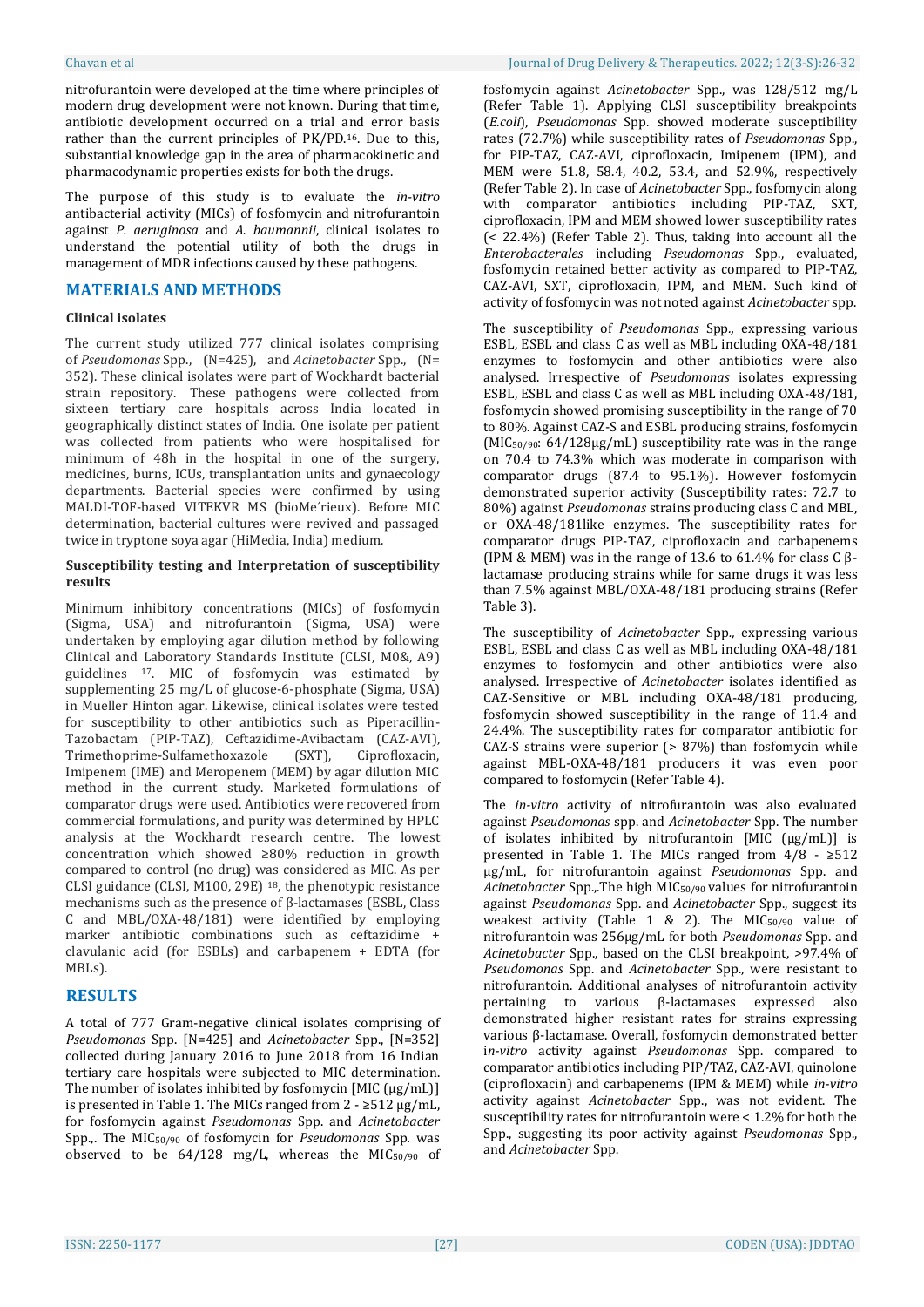nitrofurantoin were developed at the time where principles of modern drug development were not known. During that time, antibiotic development occurred on a trial and error basis rather than the current principles of PK/PD.16. Due to this, substantial knowledge gap in the area of pharmacokinetic and pharmacodynamic properties exists for both the drugs.

The purpose of this study is to evaluate the *in-vitro* antibacterial activity (MICs) of fosfomycin and nitrofurantoin against *P. aeruginosa* and *A. baumannii*, clinical isolates to understand the potential utility of both the drugs in management of MDR infections caused by these pathogens.

## **MATERIALS AND METHODS**

#### **Clinical isolates**

The current study utilized 777 clinical isolates comprising of *Pseudomonas* Spp., (N=425), and *Acinetobacter* Spp., (N= 352). These clinical isolates were part of Wockhardt bacterial strain repository. These pathogens were collected from sixteen tertiary care hospitals across India located in geographically distinct states of India. One isolate per patient was collected from patients who were hospitalised for minimum of 48h in the hospital in one of the surgery, medicines, burns, ICUs, transplantation units and gynaecology departments. Bacterial species were confirmed by using MALDI-TOF-based VITEKVR MS (bioMe´rieux). Before MIC determination, bacterial cultures were revived and passaged twice in tryptone soya agar (HiMedia, India) medium.

#### **Susceptibility testing and Interpretation of susceptibility results**

Minimum inhibitory concentrations (MICs) of fosfomycin (Sigma, USA) and nitrofurantoin (Sigma, USA) were undertaken by employing agar dilution method by following Clinical and Laboratory Standards Institute (CLSI, M0&, A9) guidelines <sup>17</sup>. MIC of fosfomycin was estimated by supplementing 25 mg/L of glucose-6-phosphate (Sigma, USA) in Mueller Hinton agar. Likewise, clinical isolates were tested for susceptibility to other antibiotics such as Piperacillin-Tazobactam (PIP-TAZ), Ceftazidime-Avibactam (CAZ-AVI), Trimethoprime-Sulfamethoxazole (SXT), Ciprofloxacin, Imipenem (IME) and Meropenem (MEM) by agar dilution MIC method in the current study. Marketed formulations of comparator drugs were used. Antibiotics were recovered from commercial formulations, and purity was determined by HPLC analysis at the Wockhardt research centre. The lowest concentration which showed ≥80% reduction in growth compared to control (no drug) was considered as MIC. As per CLSI guidance (CLSI, M100, 29E) <sup>18</sup>, the phenotypic resistance mechanisms such as the presence of β-lactamases (ESBL, Class C and MBL/OXA-48/181) were identified by employing marker antibiotic combinations such as ceftazidime + clavulanic acid (for ESBLs) and carbapenem + EDTA (for MBLs).

## **RESULTS**

A total of 777 Gram-negative clinical isolates comprising of *Pseudomonas* Spp. [N=425] and *Acinetobacter* Spp., [N=352] collected during January 2016 to June 2018 from 16 Indian tertiary care hospitals were subjected to MIC determination. The number of isolates inhibited by fosfomycin  $[MIC(\mu g/mL)]$ is presented in Table 1. The MICs ranged from  $2 - \geq 512 \,\mu g/mL$ , for fosfomycin against *Pseudomonas* Spp. and *Acinetobacter* Spp.,. The MIC50/90 of fosfomycin for *Pseudomonas* Spp*.* was observed to be 64/128 mg/L, whereas the MIC50/90 of fosfomycin against *Acinetobacter* Spp., was 128/512 mg/L (Refer Table 1). Applying CLSI susceptibility breakpoints (*E.coli*), *Pseudomonas* Spp*.* showed moderate susceptibility rates (72.7%) while susceptibility rates of *Pseudomonas* Spp., for PIP-TAZ, CAZ-AVI, ciprofloxacin, Imipenem (IPM), and MEM were 51.8, 58.4, 40.2, 53.4, and 52.9%, respectively (Refer Table 2). In case of *Acinetobacter* Spp., fosfomycin along with comparator antibiotics including PIP-TAZ, SXT, ciprofloxacin, IPM and MEM showed lower susceptibility rates (< 22.4%) (Refer Table 2). Thus, taking into account all the *Enterobacterales* including *Pseudomonas* Spp., evaluated, fosfomycin retained better activity as compared to PIP-TAZ, CAZ-AVI, SXT, ciprofloxacin, IPM, and MEM. Such kind of activity of fosfomycin was not noted against *Acinetobacter* spp.

The susceptibility of *Pseudomonas* Spp*.,* expressing various ESBL, ESBL and class C as well as MBL including OXA-48/181 enzymes to fosfomycin and other antibiotics were also analysed. Irrespective of *Pseudomonas* isolates expressing ESBL, ESBL and class C as well as MBL including OXA-48/181, fosfomycin showed promising susceptibility in the range of 70 to 80%. Against CAZ-S and ESBL producing strains, fosfomycin  $(MIC<sub>50/90</sub>: 64/128 $\mu$ g/mL) susceptibility rate was in the range$ on 70.4 to 74.3% which was moderate in comparison with comparator drugs (87.4 to 95.1%). However fosfomycin demonstrated superior activity (Susceptibility rates: 72.7 to 80%) against *Pseudomonas* strains producing class C and MBL, or OXA-48/181like enzymes. The susceptibility rates for comparator drugs PIP-TAZ, ciprofloxacin and carbapenems (IPM & MEM) was in the range of 13.6 to 61.4% for class  $C \beta$ lactamase producing strains while for same drugs it was less than 7.5% against MBL/OXA-48/181 producing strains (Refer Table 3).

The susceptibility of *Acinetobacter* Spp*.,* expressing various ESBL, ESBL and class C as well as MBL including OXA-48/181 enzymes to fosfomycin and other antibiotics were also analysed. Irrespective of *Acinetobacter* isolates identified as CAZ-Sensitive or MBL including OXA-48/181 producing, fosfomycin showed susceptibility in the range of 11.4 and 24.4%. The susceptibility rates for comparator antibiotic for CAZ-S strains were superior (> 87%) than fosfomycin while against MBL-OXA-48/181 producers it was even poor compared to fosfomycin (Refer Table 4).

The *in-vitro* activity of nitrofurantoin was also evaluated against *Pseudomonas* spp. and *Acinetobacter* Spp. The number of isolates inhibited by nitrofurantoin [MIC (µg/mL)] is presented in Table 1. The MICs ranged from  $4/8 \div 512$ µg/mL, for nitrofurantoin against *Pseudomonas* Spp. and *Acinetobacter* Spp.,.The high MIC50/90 values for nitrofurantoin against *Pseudomonas* Spp. and *Acinetobacter* Spp., suggest its weakest activity (Table 1 & 2). The MIC50/90 value of nitrofurantoin was 256µg/mL for both *Pseudomonas* Spp. and *Acinetobacter* Spp., based on the CLSI breakpoint, >97.4% of *Pseudomonas* Spp. and *Acinetobacter* Spp., were resistant to nitrofurantoin. Additional analyses of nitrofurantoin activity pertaining to various β-lactamases expressed also demonstrated higher resistant rates for strains expressing various β-lactamase. Overall, fosfomycin demonstrated better i*n-vitro* activity against *Pseudomonas* Spp. compared to comparator antibiotics including PIP/TAZ, CAZ-AVI, quinolone (ciprofloxacin) and carbapenems (IPM & MEM) while *in-vitro* activity against *Acinetobacter* Spp., was not evident. The susceptibility rates for nitrofurantoin were < 1.2% for both the Spp., suggesting its poor activity against *Pseudomonas* Spp., and *Acinetobacter* Spp.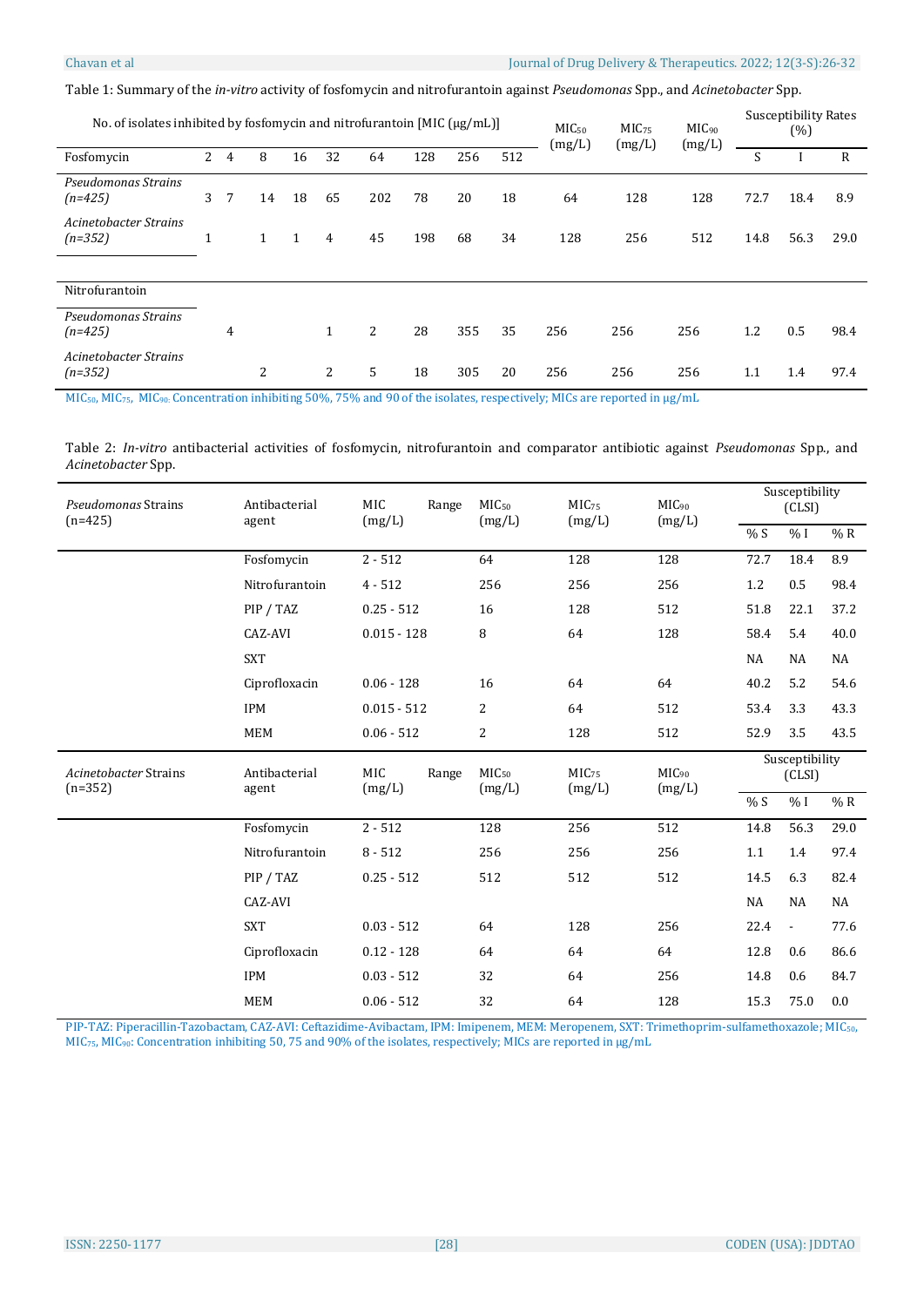Table 1: Summary of the *in-vitro* activity of fosfomycin and nitrofurantoin against *Pseudomonas* Spp., and *Acinetobacter* Spp.

| No. of isolates inhibited by fosfomycin and nitrofurantoin [MIC $\mu$ g/mL]] |                |   |              |              |    |     | MIC <sub>50</sub><br>(mg/L) | MIC <sub>75</sub><br>(mg/L) | MIC <sub>90</sub><br>(mg/L) | <b>Susceptibility Rates</b><br>(%) |     |     |      |      |              |
|------------------------------------------------------------------------------|----------------|---|--------------|--------------|----|-----|-----------------------------|-----------------------------|-----------------------------|------------------------------------|-----|-----|------|------|--------------|
| Fosfomycin                                                                   | $\overline{2}$ | 4 | 8            | 16           | 32 | 64  | 128                         | 256                         | 512                         |                                    |     |     | S    |      | $\mathsf{R}$ |
| Pseudomonas Strains<br>$(n=425)$                                             | 3              | 7 | 14           | 18           | 65 | 202 | 78                          | 20                          | 18                          | 64                                 | 128 | 128 | 72.7 | 18.4 | 8.9          |
| Acinetobacter Strains<br>$(n=352)$                                           | T              |   | $\mathbf{1}$ | $\mathbf{1}$ | 4  | 45  | 198                         | 68                          | 34                          | 128                                | 256 | 512 | 14.8 | 56.3 | 29.0         |
| Nitrofurantoin                                                               |                |   |              |              |    |     |                             |                             |                             |                                    |     |     |      |      |              |
|                                                                              |                |   |              |              |    |     |                             |                             |                             |                                    |     |     |      |      |              |
| Pseudomonas Strains<br>$(n=425)$                                             |                | 4 |              |              | 1  | 2   | 28                          | 355                         | 35                          | 256                                | 256 | 256 | 1.2  | 0.5  | 98.4         |
| <b>Acinetobacter Strains</b><br>$(n=352)$                                    |                |   | 2            |              | 2  | 5   | 18                          | 305                         | 20                          | 256                                | 256 | 256 | 1.1  | 1.4  | 97.4         |

MIC50, MIC75, MIC90: Concentration inhibiting 50%, 75% and 90 of the isolates, respectively; MICs are reported in µg/mL

Table 2: *In-vitro* antibacterial activities of fosfomycin, nitrofurantoin and comparator antibiotic against *Pseudomonas* Spp., and *Acinetobacter* Spp.

| Pseudomonas Strains<br>$(n=425)$ | Antibacterial<br>agent | <b>MIC</b><br>Range<br>(mg/L) | MIC <sub>50</sub><br>(mg/L) | MIC <sub>75</sub><br>(mg/L) | $MIC_{90}$<br>(mg/L) | Susceptibility<br>(CLSI) |                          |      |
|----------------------------------|------------------------|-------------------------------|-----------------------------|-----------------------------|----------------------|--------------------------|--------------------------|------|
|                                  |                        |                               |                             |                             |                      | % S                      | $\%$ I                   | % R  |
|                                  | Fosfomycin             | $2 - 512$                     | 64                          | 128                         | 128                  | 72.7                     | 18.4                     | 8.9  |
|                                  | Nitrofurantoin         | $4 - 512$                     | 256                         | 256                         | 256                  | 1.2                      | 0.5                      | 98.4 |
|                                  | PIP / TAZ              | $0.25 - 512$                  | 16                          | 128                         | 512                  | 51.8                     | 22.1                     | 37.2 |
|                                  | CAZ-AVI                | $0.015 - 128$                 | $\, 8$                      | 64                          | 128                  | 58.4                     | 5.4                      | 40.0 |
|                                  | <b>SXT</b>             |                               |                             |                             |                      | NA                       | NA                       | NA   |
|                                  | Ciprofloxacin          | $0.06 - 128$                  | 16                          | 64                          | 64                   | 40.2                     | 5.2                      | 54.6 |
|                                  | <b>IPM</b>             | $0.015 - 512$                 | 2                           | 64                          | 512                  | 53.4                     | 3.3                      | 43.3 |
|                                  | <b>MEM</b>             | $0.06 - 512$                  | 2                           | 128                         | 512                  | 52.9                     | 3.5                      | 43.5 |
|                                  |                        |                               |                             |                             |                      |                          |                          |      |
| Acinetobacter Strains            | Antibacterial          | <b>MIC</b><br>Range           | MIC <sub>50</sub>           | MIC <sub>75</sub>           | $MIC_{90}$           |                          | Susceptibility<br>(CLSI) |      |
| $(n=352)$                        | agent                  | (mg/L)                        | (mg/L)                      | (mg/L)                      | (mg/L)               | % S                      | $\%$ I                   | % R  |
|                                  | Fosfomycin             | $2 - 512$                     | 128                         | 256                         | $\overline{512}$     | 14.8                     | 56.3                     | 29.0 |
|                                  | Nitrofurantoin         | $8 - 512$                     | 256                         | 256                         | 256                  | 1.1                      | 1.4                      | 97.4 |
|                                  | PIP / TAZ              | $0.25 - 512$                  | 512                         | 512                         | 512                  | 14.5                     | 6.3                      | 82.4 |
|                                  | CAZ-AVI                |                               |                             |                             |                      | NA                       | NA                       | NA   |
|                                  | <b>SXT</b>             | $0.03 - 512$                  | 64                          | 128                         | 256                  | 22.4                     | $\overline{\phantom{a}}$ | 77.6 |
|                                  | Ciprofloxacin          | $0.12 - 128$                  | 64                          | 64                          | 64                   | 12.8                     | 0.6                      | 86.6 |
|                                  | <b>IPM</b>             | $0.03 - 512$                  | 32                          | 64                          | 256                  | 14.8                     | 0.6                      | 84.7 |

PIP-TAZ: Piperacillin-Tazobactam, CAZ-AVI: Ceftazidime-Avibactam, IPM: Imipenem, MEM: Meropenem, SXT: Trimethoprim-sulfamethoxazole; MIC50, MIC75, MIC90: Concentration inhibiting 50, 75 and 90% of the isolates, respectively; MICs are reported in µg/mL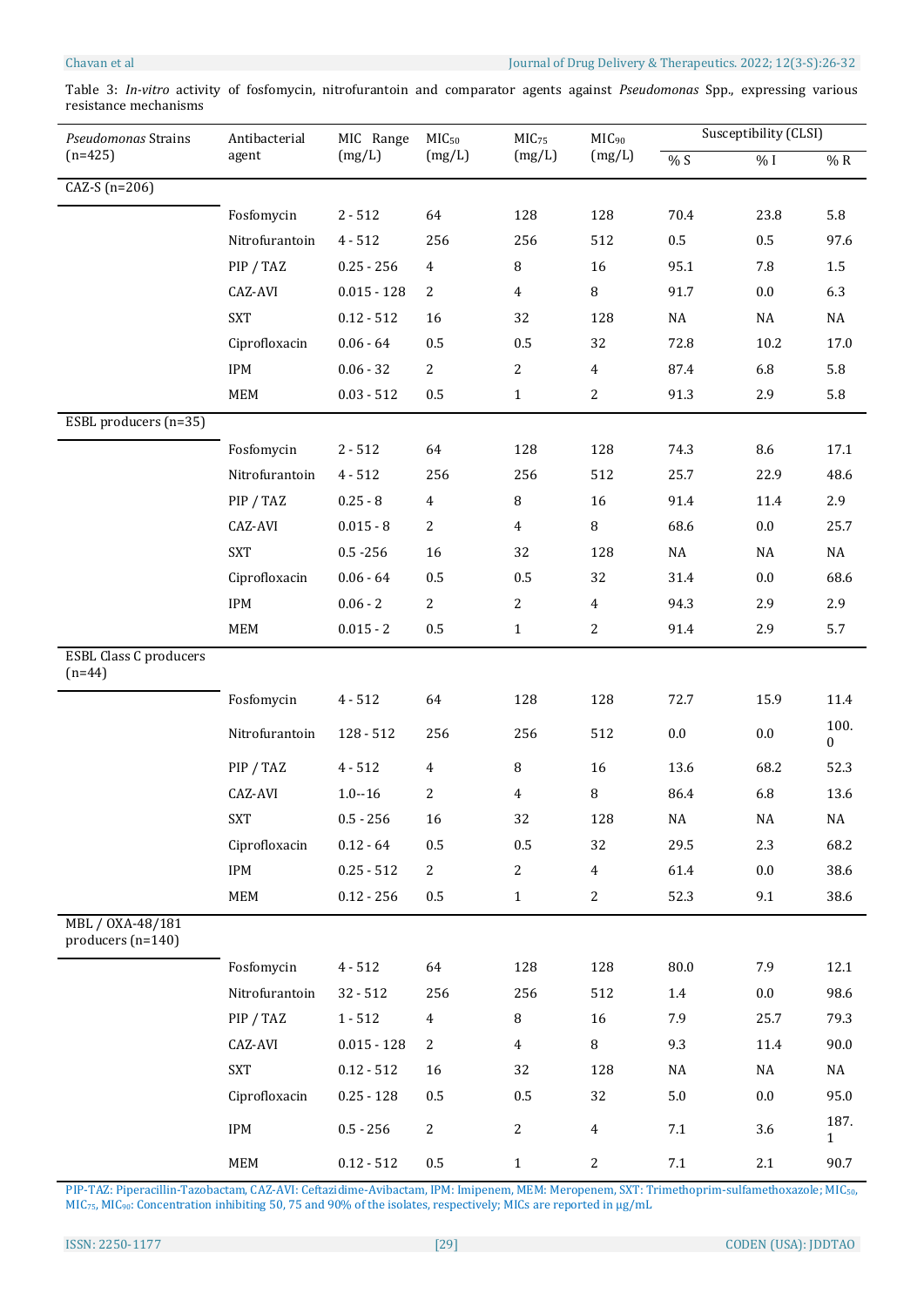## Chavan et al Journal of Drug Delivery & Therapeutics. 2022; 12(3-S):26-32

Table 3: *In-vitro* activity of fosfomycin, nitrofurantoin and comparator agents against *Pseudomonas* Spp., expressing various resistance mechanisms

| Pseudomonas Strains                       | Antibacterial               | MIC Range     | MIC <sub>50</sub> | MIC <sub>75</sub> | MIC <sub>90</sub> | Susceptibility (CLSI) |          |                          |  |
|-------------------------------------------|-----------------------------|---------------|-------------------|-------------------|-------------------|-----------------------|----------|--------------------------|--|
| $(n=425)$                                 | agent                       | (mg/L)        | (mg/L)            | (mg/L)            | (mg/L)            | %S                    | $\%$ I   | $\%$ R                   |  |
| $\overline{CAZ-S}$ (n=206)                |                             |               |                   |                   |                   |                       |          |                          |  |
|                                           | Fosfomycin                  | $2 - 512$     | 64                | 128               | 128               | 70.4                  | 23.8     | 5.8                      |  |
|                                           | Nitrofurantoin              | $4 - 512$     | 256               | 256               | 512               | $0.5\,$               | 0.5      | 97.6                     |  |
|                                           | PIP / TAZ                   | $0.25 - 256$  | $\overline{4}$    | 8                 | 16                | 95.1                  | 7.8      | $1.5\,$                  |  |
|                                           | CAZ-AVI                     | $0.015 - 128$ | $\overline{c}$    | 4                 | 8                 | 91.7                  | $0.0\,$  | 6.3                      |  |
|                                           | <b>SXT</b>                  | $0.12 - 512$  | 16                | 32                | 128               | $\rm NA$              | $\rm NA$ | $\rm NA$                 |  |
|                                           | Ciprofloxacin               | $0.06 - 64$   | 0.5               | 0.5               | 32                | 72.8                  | 10.2     | 17.0                     |  |
|                                           | $IPM$                       | $0.06 - 32$   | $\mathbf{2}$      | $\mathbf{2}$      | $\overline{4}$    | 87.4                  | 6.8      | 5.8                      |  |
|                                           | MEM                         | $0.03 - 512$  | 0.5               | $1\,$             | $\overline{c}$    | 91.3                  | 2.9      | 5.8                      |  |
| ESBL producers (n=35)                     |                             |               |                   |                   |                   |                       |          |                          |  |
|                                           | Fosfomycin                  | $2 - 512$     | 64                | 128               | 128               | 74.3                  | $\,8.6$  | 17.1                     |  |
|                                           | Nitrofurantoin              | $4 - 512$     | 256               | 256               | 512               | 25.7                  | 22.9     | 48.6                     |  |
|                                           | PIP / TAZ                   | $0.25 - 8$    | $\overline{4}$    | $\, 8$            | 16                | 91.4                  | 11.4     | 2.9                      |  |
|                                           | CAZ-AVI                     | $0.015 - 8$   | $\overline{c}$    | $\overline{4}$    | $\, 8$            | 68.6                  | 0.0      | 25.7                     |  |
|                                           | <b>SXT</b>                  | $0.5 - 256$   | 16                | 32                | 128               | $\rm NA$              | NA       | NA                       |  |
|                                           | Ciprofloxacin               | $0.06 - 64$   | 0.5               | 0.5               | 32                | 31.4                  | 0.0      | 68.6                     |  |
|                                           | $IPM$                       | $0.06 - 2$    | 2                 | 2                 | $\overline{4}$    | 94.3                  | 2.9      | 2.9                      |  |
|                                           | MEM                         | $0.015 - 2$   | $0.5\,$           | $\mathbf{1}$      | $\overline{a}$    | 91.4                  | 2.9      | 5.7                      |  |
| <b>ESBL Class C producers</b><br>$(n=44)$ |                             |               |                   |                   |                   |                       |          |                          |  |
|                                           | Fosfomycin                  | $4 - 512$     | 64                | 128               | 128               | 72.7                  | 15.9     | 11.4                     |  |
|                                           | Nitrofurantoin              | $128 - 512$   | 256               | 256               | 512               | $0.0\,$               | 0.0      | 100.<br>$\boldsymbol{0}$ |  |
|                                           | PIP / TAZ                   | $4 - 512$     | $\overline{4}$    | 8                 | 16                | 13.6                  | 68.2     | 52.3                     |  |
|                                           | CAZ-AVI                     | $1.0 - 16$    | 2                 | 4                 | 8                 | 86.4                  | 6.8      | 13.6                     |  |
|                                           | <b>SXT</b>                  | $0.5 - 256$   | 16                | 32                | 128               | NA                    | NA       | $\rm NA$                 |  |
|                                           | Ciprofloxacin               | $0.12 - 64$   | 0.5               | $0.5\,$           | 32                | 29.5                  | $2.3\,$  | 68.2                     |  |
|                                           | IPM                         | $0.25 - 512$  | $\overline{2}$    | $\sqrt{2}$        | $\overline{4}$    | 61.4                  | $0.0\,$  | 38.6                     |  |
|                                           | MEM                         | $0.12 - 256$  | $0.5\,$           | $\mathbf{1}$      | $\mathbf{2}$      | 52.3                  | 9.1      | 38.6                     |  |
| MBL / 0XA-48/181<br>producers (n=140)     |                             |               |                   |                   |                   |                       |          |                          |  |
|                                           | Fosfomycin                  | $4 - 512$     | 64                | 128               | 128               | 80.0                  | 7.9      | 12.1                     |  |
|                                           | Nitrofurantoin              | $32 - 512$    | 256               | 256               | 512               | $1.4\,$               | $0.0\,$  | 98.6                     |  |
|                                           | PIP / TAZ                   | $1 - 512$     | $\overline{4}$    | $\, 8$            | 16                | 7.9                   | 25.7     | 79.3                     |  |
|                                           | CAZ-AVI                     | $0.015 - 128$ | $\overline{2}$    | 4                 | $\, 8$            | 9.3                   | 11.4     | 90.0                     |  |
|                                           | <b>SXT</b>                  | $0.12 - 512$  | 16                | 32                | 128               | $\rm NA$              | $\rm NA$ | NA                       |  |
|                                           | Ciprofloxacin               | $0.25 - 128$  | 0.5               | $0.5\,$           | 32                | $5.0\,$               | 0.0      | 95.0                     |  |
|                                           | $IPM$                       | $0.5 - 256$   | $\overline{a}$    | $\sqrt{2}$        | $\overline{4}$    | $7.1\,$               | 3.6      | 187.<br>1                |  |
|                                           | $\ensuremath{\mathsf{MEM}}$ | $0.12 - 512$  | $0.5\,$           | $\mathbf 1$       | $\mathbf{2}$      | $7.1\,$               | $2.1\,$  | 90.7                     |  |

PIP-TAZ: Piperacillin-Tazobactam, CAZ-AVI: Ceftazidime-Avibactam, IPM: Imipenem, MEM: Meropenem, SXT: Trimethoprim-sulfamethoxazole; MIC50, MIC75, MIC90: Concentration inhibiting 50, 75 and 90% of the isolates, respectively; MICs are reported in µg/mL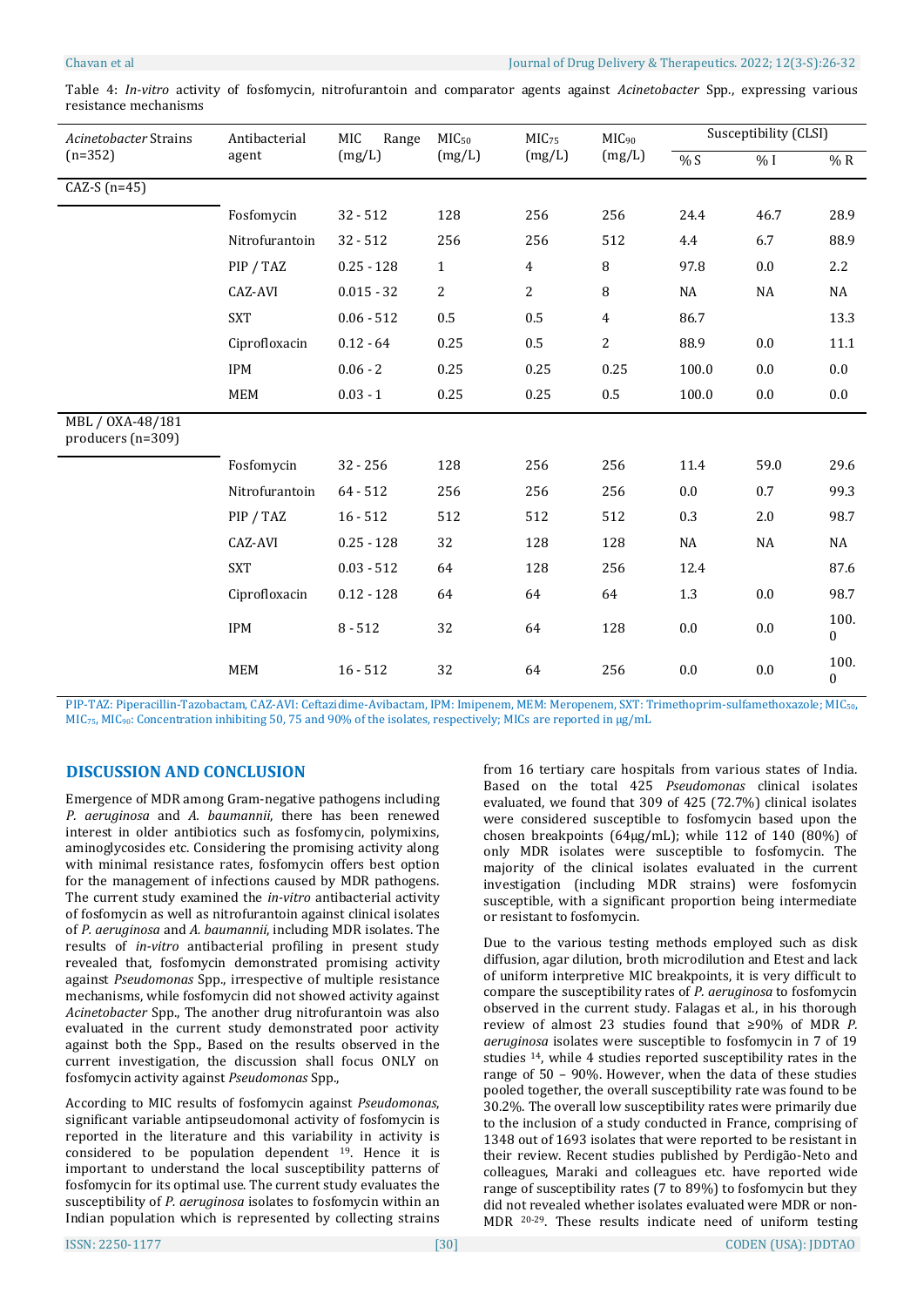| Acinetobacter Strains                   | Antibacterial  | MIC<br>Range | MIC <sub>50</sub><br>(mg/L) | MIC <sub>75</sub><br>(mg/L) | MIC <sub>90</sub><br>(mg/L) | Susceptibility (CLSI) |          |                          |
|-----------------------------------------|----------------|--------------|-----------------------------|-----------------------------|-----------------------------|-----------------------|----------|--------------------------|
| $(n=352)$                               | agent          | (mg/L)       |                             |                             |                             | $% S$                 | % I      | %R                       |
| CAZ-S $(n=45)$                          |                |              |                             |                             |                             |                       |          |                          |
|                                         | Fosfomycin     | $32 - 512$   | 128                         | 256                         | 256                         | 24.4                  | 46.7     | 28.9                     |
|                                         | Nitrofurantoin | $32 - 512$   | 256                         | 256                         | 512                         | 4.4                   | 6.7      | 88.9                     |
|                                         | PIP / TAZ      | $0.25 - 128$ | $\mathbf{1}$                | $\overline{4}$              | 8                           | 97.8                  | 0.0      | 2.2                      |
|                                         | CAZ-AVI        | $0.015 - 32$ | 2                           | $\overline{2}$              | 8                           | NA                    | NA       | NA                       |
|                                         | <b>SXT</b>     | $0.06 - 512$ | 0.5                         | 0.5                         | $\overline{4}$              | 86.7                  |          | 13.3                     |
|                                         | Ciprofloxacin  | $0.12 - 64$  | 0.25                        | 0.5                         | $\overline{2}$              | 88.9                  | $0.0\,$  | 11.1                     |
|                                         | IPM            | $0.06 - 2$   | 0.25                        | 0.25                        | 0.25                        | 100.0                 | 0.0      | 0.0                      |
|                                         | <b>MEM</b>     | $0.03 - 1$   | 0.25                        | 0.25                        | $0.5\,$                     | 100.0                 | $0.0\,$  | $0.0\,$                  |
| MBL / 0XA-48/181<br>producers $(n=309)$ |                |              |                             |                             |                             |                       |          |                          |
|                                         | Fosfomycin     | $32 - 256$   | 128                         | 256                         | 256                         | 11.4                  | 59.0     | 29.6                     |
|                                         | Nitrofurantoin | $64 - 512$   | 256                         | 256                         | 256                         | 0.0                   | 0.7      | 99.3                     |
|                                         | PIP / TAZ      | $16 - 512$   | 512                         | 512                         | 512                         | 0.3                   | 2.0      | 98.7                     |
|                                         | CAZ-AVI        | $0.25 - 128$ | 32                          | 128                         | 128                         | $_{\rm NA}$           | $\rm NA$ | NA                       |
|                                         | <b>SXT</b>     | $0.03 - 512$ | 64                          | 128                         | 256                         | 12.4                  |          | 87.6                     |
|                                         | Ciprofloxacin  | $0.12 - 128$ | 64                          | 64                          | 64                          | 1.3                   | $0.0\,$  | 98.7                     |
|                                         | <b>IPM</b>     | $8 - 512$    | 32                          | 64                          | 128                         | 0.0                   | 0.0      | 100.<br>$\boldsymbol{0}$ |
|                                         | <b>MEM</b>     | $16 - 512$   | 32                          | 64                          | 256                         | 0.0                   | 0.0      | 100.<br>$\mathbf{0}$     |

Table 4: *In-vitro* activity of fosfomycin, nitrofurantoin and comparator agents against *Acinetobacter* Spp., expressing various resistance mechanisms

PIP-TAZ: Piperacillin-Tazobactam, CAZ-AVI: Ceftazidime-Avibactam, IPM: Imipenem, MEM: Meropenem, SXT: Trimethoprim-sulfamethoxazole; MIC50, MIC<sub>75</sub>, MIC<sub>90</sub>: Concentration inhibiting 50, 75 and 90% of the isolates, respectively; MICs are reported in µg/mL

# **DISCUSSION AND CONCLUSION**

Emergence of MDR among Gram-negative pathogens including *P. aeruginosa* and *A. baumannii*, there has been renewed interest in older antibiotics such as fosfomycin, polymixins, aminoglycosides etc. Considering the promising activity along with minimal resistance rates, fosfomycin offers best option for the management of infections caused by MDR pathogens. The current study examined the *in-vitro* antibacterial activity of fosfomycin as well as nitrofurantoin against clinical isolates of *P. aeruginosa* and *A. baumannii*, including MDR isolates. The results of *in-vitro* antibacterial profiling in present study revealed that, fosfomycin demonstrated promising activity against *Pseudomonas* Spp., irrespective of multiple resistance mechanisms, while fosfomycin did not showed activity against *Acinetobacter* Spp., The another drug nitrofurantoin was also evaluated in the current study demonstrated poor activity against both the Spp., Based on the results observed in the current investigation, the discussion shall focus ONLY on fosfomycin activity against *Pseudomonas* Spp.,

According to MIC results of fosfomycin against *Pseudomonas*, significant variable antipseudomonal activity of fosfomycin is reported in the literature and this variability in activity is considered to be population dependent <sup>19</sup>. Hence it is important to understand the local susceptibility patterns of fosfomycin for its optimal use. The current study evaluates the susceptibility of *P. aeruginosa* isolates to fosfomycin within an Indian population which is represented by collecting strains

from 16 tertiary care hospitals from various states of India. Based on the total 425 *Pseudomonas* clinical isolates evaluated, we found that 309 of 425 (72.7%) clinical isolates were considered susceptible to fosfomycin based upon the chosen breakpoints (64µg/mL); while 112 of 140 (80%) of only MDR isolates were susceptible to fosfomycin. The majority of the clinical isolates evaluated in the current investigation (including MDR strains) were fosfomycin susceptible, with a significant proportion being intermediate or resistant to fosfomycin.

Due to the various testing methods employed such as disk diffusion, agar dilution, broth microdilution and Etest and lack of uniform interpretive MIC breakpoints, it is very difficult to compare the susceptibility rates of *P. aeruginosa* to fosfomycin observed in the current study. Falagas et al., in his thorough review of almost 23 studies found that ≥90% of MDR *P. aeruginosa* isolates were susceptible to fosfomycin in 7 of 19 studies <sup>14</sup>, while 4 studies reported susceptibility rates in the range of 50 – 90%. However, when the data of these studies pooled together, the overall susceptibility rate was found to be 30.2%. The overall low susceptibility rates were primarily due to the inclusion of a study conducted in France, comprising of 1348 out of 1693 isolates that were reported to be resistant in their review. Recent studies published by Perdigão-Neto and colleagues, Maraki and colleagues etc. have reported wide range of susceptibility rates (7 to 89%) to fosfomycin but they did not revealed whether isolates evaluated were MDR or non-MDR 20-29. These results indicate need of uniform testing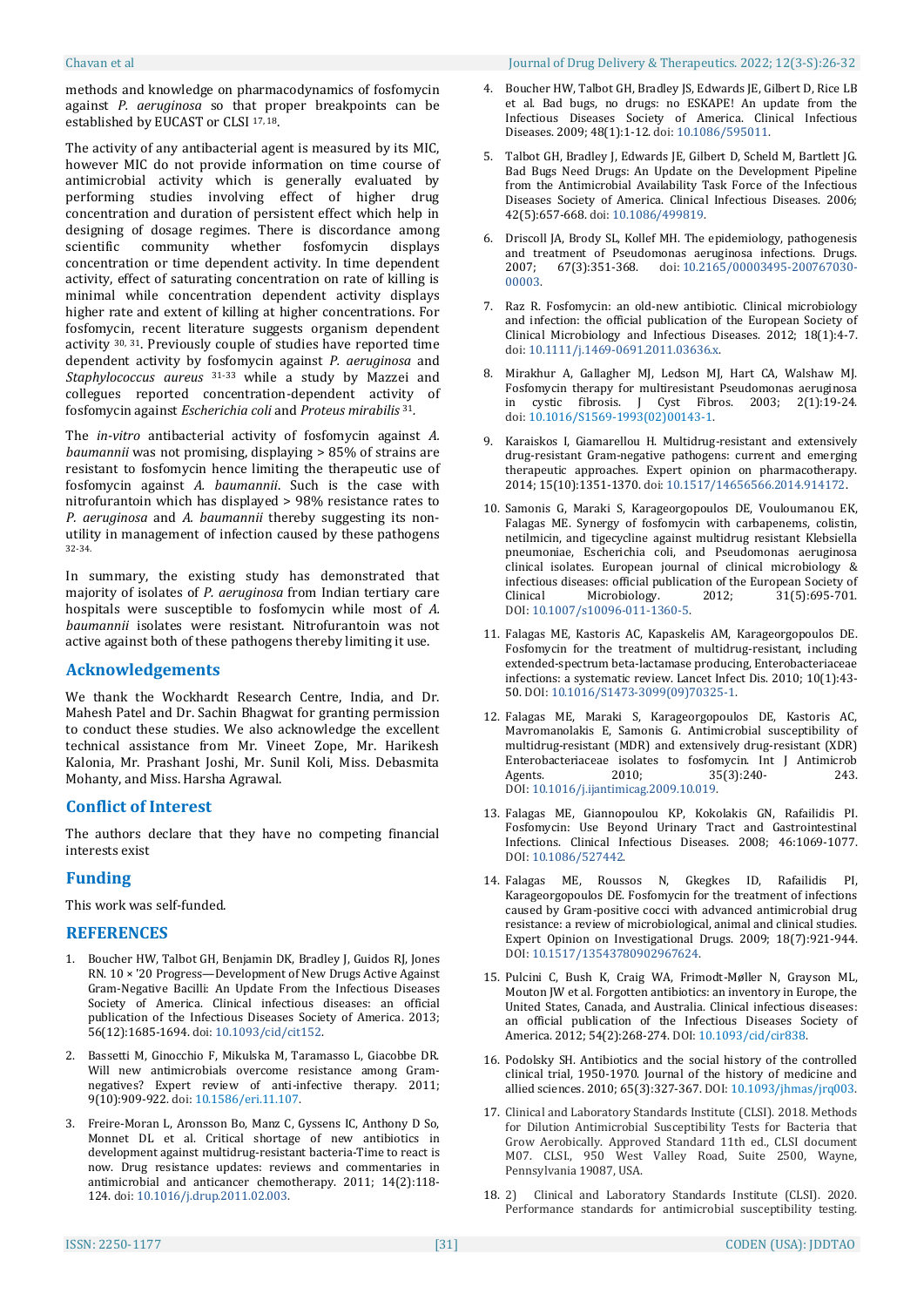methods and knowledge on pharmacodynamics of fosfomycin against *P. aeruginosa* so that proper breakpoints can be established by EUCAST or CLSI 17, 18.

The activity of any antibacterial agent is measured by its MIC, however MIC do not provide information on time course of antimicrobial activity which is generally evaluated by performing studies involving effect of higher drug concentration and duration of persistent effect which help in designing of dosage regimes. There is discordance among scientific community whether fosfomycin displays concentration or time dependent activity. In time dependent activity, effect of saturating concentration on rate of killing is minimal while concentration dependent activity displays higher rate and extent of killing at higher concentrations. For fosfomycin, recent literature suggests organism dependent activity 30, 31. Previously couple of studies have reported time dependent activity by fosfomycin against *P. aeruginosa* and *Staphylococcus aureus* 31-33 while a study by Mazzei and collegues reported concentration-dependent activity of fosfomycin against *Escherichia coli* and *Proteus mirabilis* <sup>31</sup>*.*

The *in-vitro* antibacterial activity of fosfomycin against *A. baumannii* was not promising, displaying > 85% of strains are resistant to fosfomycin hence limiting the therapeutic use of fosfomycin against *A. baumannii*. Such is the case with nitrofurantoin which has displayed > 98% resistance rates to *P. aeruginosa* and *A. baumannii* thereby suggesting its nonutility in management of infection caused by these pathogens 32-34.

In summary, the existing study has demonstrated that majority of isolates of *P. aeruginosa* from Indian tertiary care hospitals were susceptible to fosfomycin while most of *A. baumannii* isolates were resistant. Nitrofurantoin was not active against both of these pathogens thereby limiting it use.

## **Acknowledgements**

We thank the Wockhardt Research Centre, India, and Dr. Mahesh Patel and Dr. Sachin Bhagwat for granting permission to conduct these studies. We also acknowledge the excellent technical assistance from Mr. Vineet Zope, Mr. Harikesh Kalonia, Mr. Prashant Joshi, Mr. Sunil Koli, Miss. Debasmita Mohanty, and Miss. Harsha Agrawal.

## **Conflict of Interest**

The authors declare that they have no competing financial interests exist

## **Funding**

This work was self-funded.

## **REFERENCES**

- 1. Boucher HW, Talbot GH, Benjamin DK, Bradley J, Guidos RJ, Jones RN. 10 × '20 Progress—Development of New Drugs Active Against Gram-Negative Bacilli: An Update From the Infectious Diseases Society of America. Clinical infectious diseases: an official publication of the Infectious Diseases Society of America. 2013; 56(12):1685-1694. doi: [10.1093/cid/cit152.](https://dx.doi.org/10.1093%2Fcid%2Fcit152)
- 2. Bassetti M, Ginocchio F, Mikulska M, Taramasso L, Giacobbe DR. Will new antimicrobials overcome resistance among Gramnegatives? Expert review of anti-infective therapy. 2011; 9(10):909-922. doi: [10.1586/eri.11.107.](https://doi.org/10.1586/eri.11.107)
- 3. Freire-Moran L, Aronsson Bo, Manz C, Gyssens IC, Anthony D So, Monnet DL et al. Critical shortage of new antibiotics in development against multidrug‐resistant bacteria‐Time to react is now. Drug resistance updates: reviews and commentaries in antimicrobial and anticancer chemotherapy. 2011; 14(2):118‐ 124. doi: [10.1016/j.drup.2011.02.003.](https://doi.org/10.1016/j.drup.2011.02.003)
- 4. Boucher HW, Talbot GH, Bradley JS, Edwards JE, Gilbert D, Rice LB et al. Bad bugs, no drugs: no ESKAPE! An update from the Infectious Diseases Society of America. Clinical Infectious Diseases. 2009; 48(1):1-12. doi: [10.1086/595011.](https://doi.org/10.1086/595011)
- 5. Talbot GH, Bradley J, Edwards JE, Gilbert D, Scheld M, Bartlett JG. Bad Bugs Need Drugs: An Update on the Development Pipeline from the Antimicrobial Availability Task Force of the Infectious Diseases Society of America. Clinical Infectious Diseases. 2006; 42(5):657-668. doi: [10.1086/499819.](https://doi.org/10.1086/499819)
- 6. Driscoll JA, Brody SL, Kollef MH. The epidemiology, pathogenesis and treatment of Pseudomonas aeruginosa infections. Drugs. 2007; 67(3):351-368. doi: [10.2165/00003495-200767030-](https://doi.org/10.2165/00003495-200767030-00003) [00003.](https://doi.org/10.2165/00003495-200767030-00003)
- 7. Raz R. Fosfomycin: an old-new antibiotic. Clinical microbiology and infection: the official publication of the European Society of Clinical Microbiology and Infectious Diseases. 2012; 18(1):4-7. doi: [10.1111/j.1469-0691.2011.03636.x.](https://doi.org/10.1111/j.1469-0691.2011.03636.x)
- 8. Mirakhur A, Gallagher MJ, Ledson MJ, Hart CA, Walshaw MJ. Fosfomycin therapy for multiresistant Pseudomonas aeruginosa in cystic fibrosis. J Cyst Fibros. 2003; 2(1):19-24. doi: [10.1016/S1569-1993\(02\)00143-1.](https://doi.org/10.1016/s1569-1993(02)00143-1)
- 9. Karaiskos I, Giamarellou H. Multidrug-resistant and extensively drug-resistant Gram-negative pathogens: current and emerging therapeutic approaches. Expert opinion on pharmacotherapy. 2014; 15(10):1351-1370. doi: [10.1517/14656566.2014.914172.](https://dx.doi.org/10.1517%2F14656566.2014.914172)
- 10. Samonis G, Maraki S, Karageorgopoulos DE, Vouloumanou EK, Falagas ME. Synergy of fosfomycin with carbapenems, colistin, netilmicin, and tigecycline against multidrug resistant Klebsiella pneumoniae, Escherichia coli, and Pseudomonas aeruginosa clinical isolates. European journal of clinical microbiology & infectious diseases: official publication of the European Society of Clinical Microbiology. 2012; 31(5):695-701. DOI: [10.1007/s10096-011-1360-5.](https://doi.org/10.1007/s10096-011-1360-5)
- 11. Falagas ME, Kastoris AC, Kapaskelis AM, Karageorgopoulos DE. Fosfomycin for the treatment of multidrug-resistant, including extended-spectrum beta-lactamase producing, Enterobacteriaceae infections: a systematic review. Lancet Infect Dis. 2010; 10(1):43- 50. DOI: [10.1016/S1473-3099\(09\)70325-1.](https://doi.org/10.1016/s1473-3099(09)70325-1)
- 12. Falagas ME, Maraki S, Karageorgopoulos DE, Kastoris AC, Mavromanolakis E, Samonis G. Antimicrobial susceptibility of multidrug-resistant (MDR) and extensively drug-resistant (XDR) Enterobacteriaceae isolates to fosfomycin. Int J Antimicrob<br>Agents. 2010: 35(3):240- 243. Agents. 2010; 35(3):240-<br>243. DOI: [10.1016/j.ijantimicag.2009.10.019.](https://doi.org/10.1016/j.ijantimicag.2009.10.019)
- 13. Falagas ME, Giannopoulou KP, Kokolakis GN, Rafailidis PI. Fosfomycin: Use Beyond Urinary Tract and Gastrointestinal Infections. Clinical Infectious Diseases. 2008; 46:1069-1077. DOI: [10.1086/527442.](https://doi.org/10.1086/527442)
- 14. Falagas ME, Roussos N, Gkegkes ID, Rafailidis PI, Karageorgopoulos DE. Fosfomycin for the treatment of infections caused by Gram-positive cocci with advanced antimicrobial drug resistance: a review of microbiological, animal and clinical studies. Expert Opinion on Investigational Drugs. 2009; 18(7):921-944. DOI: [10.1517/13543780902967624.](https://doi.org/10.1517/13543780902967624)
- 15. Pulcini C, Bush K, Craig WA, Frimodt-Møller N, Grayson ML, Mouton JW et al. Forgotten antibiotics: an inventory in Europe, the United States, Canada, and Australia. Clinical infectious diseases: an official publication of the Infectious Diseases Society of America. 2012; 54(2):268‐274. DOI: [10.1093/cid/cir838.](https://doi.org/10.1093/cid/cir838)
- 16. Podolsky SH. Antibiotics and the social history of the controlled clinical trial, 1950-1970. Journal of the history of medicine and allied sciences. 2010; 65(3):327-367. DOI: [10.1093/jhmas/jrq003.](https://doi.org/10.1093/jhmas/jrq003)
- 17. Clinical and Laboratory Standards Institute (CLSI). 2018. Methods for Dilution Antimicrobial Susceptibility Tests for Bacteria that Grow Aerobically. Approved Standard 11th ed., CLSI document M07. CLSI., 950 West Valley Road, Suite 2500, Wayne, Pennsylvania 19087, USA.
- 18. 2) Clinical and Laboratory Standards Institute (CLSI). 2020. Performance standards for antimicrobial susceptibility testing.